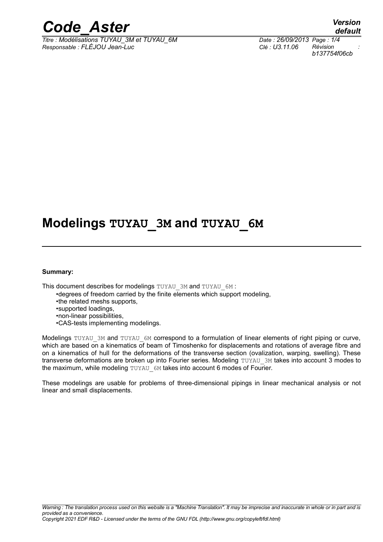

*Titre : Modélisations TUYAU\_3M et TUYAU\_6M Date : 26/09/2013 Page : 1/4 Responsable : FLÉJOU Jean-Luc Clé : U3.11.06 Révision :*

*default b137754f06cb*

# **Modelings TUYAU\_3M and TUYAU\_6M**

#### **Summary:**

This document describes for modelings TUYAU 3M and TUYAU 6M :

- •degrees of freedom carried by the finite elements which support modeling,
- •the related meshs supports,
- •supported loadings,
- •non-linear possibilities,
- •CAS-tests implementing modelings.

Modelings TUYAU 3M and TUYAU 6M correspond to a formulation of linear elements of right piping or curve, which are based on a kinematics of beam of Timoshenko for displacements and rotations of average fibre and on a kinematics of hull for the deformations of the transverse section (ovalization, warping, swelling). These transverse deformations are broken up into Fourier series. Modeling TUYAU 3M takes into account 3 modes to the maximum, while modeling TUYAU 6M takes into account 6 modes of Fourier.

These modelings are usable for problems of three-dimensional pipings in linear mechanical analysis or not linear and small displacements.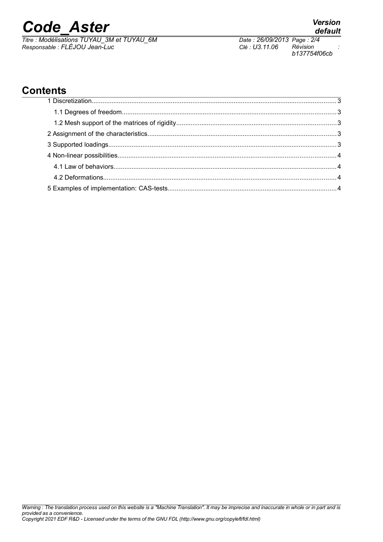# *Code\_Aster Version*

*Titre : Modélisations TUYAU\_3M et TUYAU\_6M Date : 26/09/2013 Page : 2/4 Responsable : FLÉJOU Jean-Luc Clé : U3.11.06 Révision :*

*Warning : The translation process used on this website is a "Machine Translation". It may be imprecise and inaccurate in whole or in part and is provided as a convenience. Copyright 2021 EDF R&D - Licensed under the terms of the GNU FDL (http://www.gnu.org/copyleft/fdl.html)*

# **Contents**

# *default*

*b137754f06cb*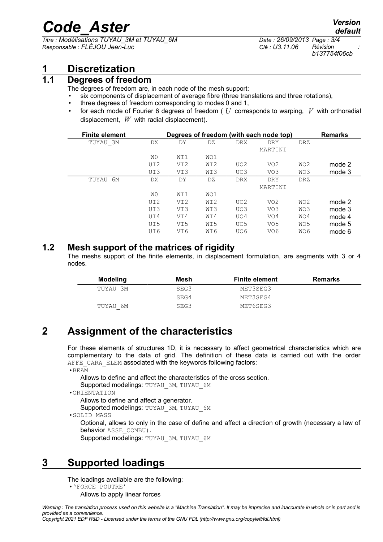# *Code\_Aster Version*

*Titre : Modélisations TUYAU\_3M et TUYAU\_6M Date : 26/09/2013 Page : 3/4 Responsable : FLÉJOU Jean-Luc Clé : U3.11.06 Révision :*

### **1 Discretization**

#### **1.1 Degrees of freedom**

The degrees of freedom are, in each node of the mesh support:

- six components of displacement of average fibre (three translations and three rotations),
- three degrees of freedom corresponding to modes 0 and 1,
- for each mode of Fourier 6 degrees of freedom ( *U* corresponds to warping, *V* with orthoradial displacement, *W* with radial displacement).

| <b>Finite element</b> |     |                 |     |                 | Degrees of freedom (with each node top) |                 | <b>Remarks</b> |
|-----------------------|-----|-----------------|-----|-----------------|-----------------------------------------|-----------------|----------------|
| TUYAU 3M              | DX  | DY              | DZ  | <b>DRX</b>      | DRY                                     | DRZ             |                |
|                       |     |                 |     |                 | MARTINI                                 |                 |                |
|                       | W0  | WI1             | WO1 |                 |                                         |                 |                |
|                       | UI2 | VI <sub>2</sub> | WI2 | UO <sub>2</sub> | VO <sub>2</sub>                         | WO <sub>2</sub> | mode 2         |
|                       | UI3 | VI3             | WI3 | UO3             | VO3                                     | WO3             | mode 3         |
| 6М<br>TUYAU           | DX  | DY              | DZ  | <b>DRX</b>      | <b>DRY</b>                              | <b>DRZ</b>      |                |
|                       |     |                 |     |                 | MARTINI                                 |                 |                |
|                       | W0  | WI1             | WO1 |                 |                                         |                 |                |
|                       | UI2 | VI <sub>2</sub> | WI2 | UO <sub>2</sub> | VO <sub>2</sub>                         | WO <sub>2</sub> | mode 2         |
|                       | UI3 | VI3             | WI3 | UO3             | VO3                                     | WO3             | mode 3         |
|                       | UI4 | VI4             | WI4 | UO4             | VO4                                     | WO4             | mode 4         |
|                       | UI5 | VI5             | WI5 | UO <sub>5</sub> | VO <sub>5</sub>                         | WO <sub>5</sub> | mode 5         |
|                       | UI6 | VI6             | WI6 | UO6             | VO <sub>6</sub>                         | WO6             | mode 6         |

#### **1.2 Mesh support of the matrices of rigidity**

The meshs support of the finite elements, in displacement formulation, are segments with 3 or 4 nodes.

| <b>Modeling</b> | Mesh | <b>Finite element</b> | <b>Remarks</b> |
|-----------------|------|-----------------------|----------------|
| TUYAU 3M        | SEG3 | MET3SEG3              |                |
|                 | SEG4 | MET3SEG4              |                |
| TUYAU 6M        | SEG3 | MET6SEG3              |                |

# **2 Assignment of the characteristics**

For these elements of structures 1D, it is necessary to affect geometrical characteristics which are complementary to the data of grid. The definition of these data is carried out with the order AFFE\_CARA\_ELEM associated with the keywords following factors:

•BEAM

Allows to define and affect the characteristics of the cross section.

Supported modelings: TUYAU\_3M, TUYAU\_6M

•ORIENTATION

Allows to define and affect a generator.

Supported modelings: TUYAU\_3M, TUYAU\_6M

•SOLID MASS

Optional, allows to only in the case of define and affect a direction of growth (necessary a law of behavior ASSE\_COMBU).

Supported modelings: TUYAU\_3M, TUYAU\_6M

# **3 Supported loadings**

The loadings available are the following:

- •'FORCE\_POUTRE'
	- Allows to apply linear forces

*Copyright 2021 EDF R&D - Licensed under the terms of the GNU FDL (http://www.gnu.org/copyleft/fdl.html)*

*Warning : The translation process used on this website is a "Machine Translation". It may be imprecise and inaccurate in whole or in part and is provided as a convenience.*